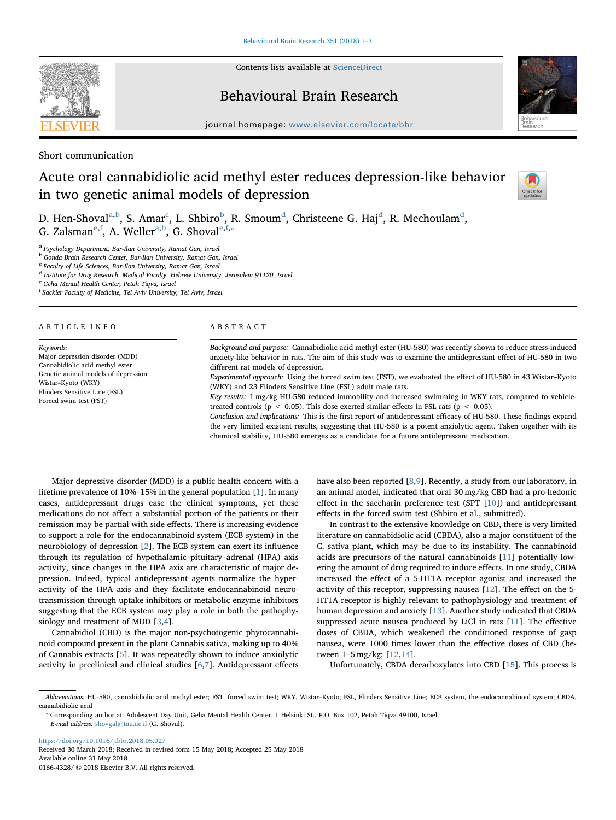

Contents lists available at [ScienceDirect](http://www.sciencedirect.com/science/journal/01664328)

# Behavioural Brain Research



 $j<sub>i</sub>$ , where  $i<sub>i</sub>$  is equal to the complete  $b<sub>i</sub>$ 

Short communication

# Acute oral cannabidiolic acid methyl ester reduces depression-like behavior in two genetic animal models of depression



D. Hen-Shov[a](#page-0-0)l<sup>a[,b](#page-0-1)</sup>, S. Amar<sup>[c](#page-0-2)</sup>, L. Sh[b](#page-0-1)iro<sup>b</sup>, R. Smoum<sup>[d](#page-0-3)</sup>, Christeene G. Haj<sup>d</sup>, R. Mechoulam<sup>d</sup>, G. Zalsman<sup>[e](#page-0-4), [f](#page-0-5)</sup>, A. Weller<sup>[a](#page-0-0), b</sup>, G. Shoval<sup>e, f,</sup>\*

<span id="page-0-0"></span><sup>a</sup> Psychology Department, Bar-Ilan University, Ramat Gan, Israel

<span id="page-0-1"></span><sup>b</sup> Gonda Brain Research Center, Bar-Ilan University, Ramat Gan, Israel

<span id="page-0-2"></span>c Faculty of Life Sciences, Bar-Ilan University, Ramat Gan, Israel

<span id="page-0-3"></span><sup>d</sup> Institute for Drug Research, Medical Faculty, Hebrew University, Jerusalem 91120, Israel

<span id="page-0-4"></span><sup>e</sup> Geha Mental Health Center, Petah Tiqva, Israel

<span id="page-0-5"></span>f Sackler Faculty of Medicine, Tel Aviv University, Tel Aviv, Israel

#### ARTICLE INFO

Keywords: Major depression disorder (MDD) Cannabidiolic acid methyl ester Genetic animal models of depression Wistar–Kyoto (WKY) Flinders Sensitive Line (FSL) Forced swim test (FST)

#### ABSTRACT

Background and purpose: Cannabidiolic acid methyl ester (HU-580) was recently shown to reduce stress-induced anxiety-like behavior in rats. The aim of this study was to examine the antidepressant effect of HU-580 in two different rat models of depression. Experimental approach: Using the forced swim test (FST), we evaluated the effect of HU-580 in 43 Wistar–Kyoto (WKY) and 23 Flinders Sensitive Line (FSL) adult male rats. Key results: 1 mg/kg HU-580 reduced immobility and increased swimming in WKY rats, compared to vehicletreated controls ( $p < 0.05$ ). This dose exerted similar effects in FSL rats ( $p < 0.05$ ).

Conclusion and implications: This is the first report of antidepressant efficacy of HU-580. These findings expand the very limited existent results, suggesting that HU-580 is a potent anxiolytic agent. Taken together with its chemical stability, HU-580 emerges as a candidate for a future antidepressant medication.

Major depressive disorder (MDD) is a public health concern with a lifetime prevalence of 10%–15% in the general population [[1](#page-2-0)]. In many cases, antidepressant drugs ease the clinical symptoms, yet these medications do not affect a substantial portion of the patients or their remission may be partial with side effects. There is increasing evidence to support a role for the endocannabinoid system (ECB system) in the neurobiology of depression [\[2\]](#page-2-1). The ECB system can exert its influence through its regulation of hypothalamic–pituitary–adrenal (HPA) axis activity, since changes in the HPA axis are characteristic of major depression. Indeed, typical antidepressant agents normalize the hyperactivity of the HPA axis and they facilitate endocannabinoid neurotransmission through uptake inhibitors or metabolic enzyme inhibitors suggesting that the ECB system may play a role in both the pathophysiology and treatment of MDD [[3](#page-2-2),[4\]](#page-2-3).

Cannabidiol (CBD) is the major non-psychotogenic phytocannabinoid compound present in the plant Cannabis sativa, making up to 40% of Cannabis extracts [[5](#page-2-4)]. It was repeatedly shown to induce anxiolytic activity in preclinical and clinical studies [\[6,](#page-2-5)[7](#page-2-6)]. Antidepressant effects have also been reported [[8](#page-2-7)[,9\]](#page-2-8). Recently, a study from our laboratory, in an animal model, indicated that oral 30 mg/kg CBD had a pro-hedonic effect in the saccharin preference test (SPT  $[10]$  $[10]$ ) and antidepressant effects in the forced swim test (Shbiro et al., submitted).

In contrast to the extensive knowledge on CBD, there is very limited literature on cannabidiolic acid (CBDA), also a major constituent of the C. sativa plant, which may be due to its instability. The cannabinoid acids are precursors of the natural cannabinoids [[11\]](#page-2-10) potentially lowering the amount of drug required to induce effects. In one study, CBDA increased the effect of a 5-HT1A receptor agonist and increased the activity of this receptor, suppressing nausea [[12\]](#page-2-11). The effect on the 5- HT1A receptor is highly relevant to pathophysiology and treatment of human depression and anxiety [\[13](#page-2-12)]. Another study indicated that CBDA suppressed acute nausea produced by LiCl in rats [\[11](#page-2-10)]. The effective doses of CBDA, which weakened the conditioned response of gasp nausea, were 1000 times lower than the effective doses of CBD (between 1–5 mg/kg; [[12,](#page-2-11)[14\]](#page-2-13).

Unfortunately, CBDA decarboxylates into CBD [\[15](#page-2-14)]. This process is

<https://doi.org/10.1016/j.bbr.2018.05.027> Received 30 March 2018; Received in revised form 15 May 2018; Accepted 25 May 2018 Available online 31 May 2018

0166-4328/ © 2018 Elsevier B.V. All rights reserved.

Abbreviations: HU-580, cannabidiolic acid methyl ester; FST, forced swim test; WKY, Wistar–Kyoto; FSL, Flinders Sensitive Line; ECB system, the endocannabinoid system; CBDA, cannabidiolic acid

<span id="page-0-6"></span><sup>⁎</sup> Corresponding author at: Adolescent Day Unit, Geha Mental Health Center, 1 Helsinki St., P.O. Box 102, Petah Tiqva 49100, Israel.

E-mail address: [shovgal@tau.ac.il](mailto:shovgal@tau.ac.il) (G. Shoval).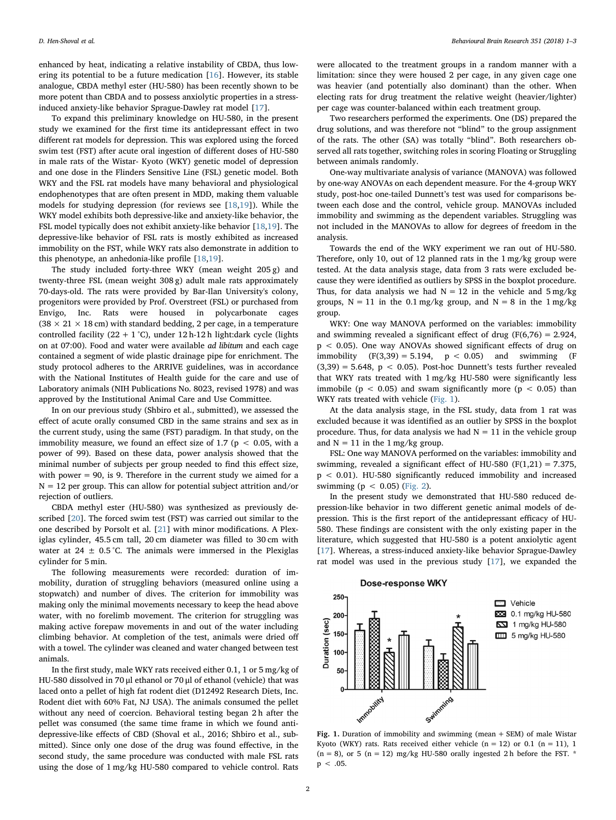enhanced by heat, indicating a relative instability of CBDA, thus lowering its potential to be a future medication [[16](#page-2-15)]. However, its stable analogue, CBDA methyl ester (HU-580) has been recently shown to be more potent than CBDA and to possess anxiolytic properties in a stressinduced anxiety-like behavior Sprague-Dawley rat model [[17](#page-2-16)].

To expand this preliminary knowledge on HU-580, in the present study we examined for the first time its antidepressant effect in two different rat models for depression. This was explored using the forced swim test (FST) after acute oral ingestion of different doses of HU-580 in male rats of the Wistar- Kyoto (WKY) genetic model of depression and one dose in the Flinders Sensitive Line (FSL) genetic model. Both WKY and the FSL rat models have many behavioral and physiological endophenotypes that are often present in MDD, making them valuable models for studying depression (for reviews see [[18,](#page-2-17)[19\]](#page-2-18)). While the WKY model exhibits both depressive-like and anxiety-like behavior, the FSL model typically does not exhibit anxiety-like behavior [[18](#page-2-17),[19\]](#page-2-18). The depressive-like behavior of FSL rats is mostly exhibited as increased immobility on the FST, while WKY rats also demonstrate in addition to this phenotype, an anhedonia-like profile [[18,](#page-2-17)[19\]](#page-2-18).

The study included forty-three WKY (mean weight 205 g) and twenty-three FSL (mean weight 308 g) adult male rats approximately 70-days-old. The rats were provided by Bar-Ilan University's colony, progenitors were provided by Prof. Overstreet (FSL) or purchased from Envigo, Inc. Rats were housed in polycarbonate cages (38  $\times$  21  $\times$  18 cm) with standard bedding, 2 per cage, in a temperature controlled facility (22 + 1 °C), under 12 h-12 h light:dark cycle (lights on at 07:00). Food and water were available ad libitum and each cage contained a segment of wide plastic drainage pipe for enrichment. The study protocol adheres to the ARRIVE guidelines, was in accordance with the National Institutes of Health guide for the care and use of Laboratory animals (NIH Publications No. 8023, revised 1978) and was approved by the Institutional Animal Care and Use Committee.

In on our previous study (Shbiro et al., submitted), we assessed the effect of acute orally consumed CBD in the same strains and sex as in the current study, using the same (FST) paradigm. In that study, on the immobility measure, we found an effect size of 1.7 ( $p < 0.05$ , with a power of 99). Based on these data, power analysis showed that the minimal number of subjects per group needed to find this effect size, with power = 90, is 9. Therefore in the current study we aimed for a  $N = 12$  per group. This can allow for potential subject attrition and/or rejection of outliers.

CBDA methyl ester (HU-580) was synthesized as previously described [[20\]](#page-2-19). The forced swim test (FST) was carried out similar to the one described by Porsolt et al. [\[21](#page-2-20)] with minor modifications. A Plexiglas cylinder, 45.5 cm tall, 20 cm diameter was filled to 30 cm with water at 24  $\pm$  0.5 °C. The animals were immersed in the Plexiglas cylinder for 5 min.

The following measurements were recorded: duration of immobility, duration of struggling behaviors (measured online using a stopwatch) and number of dives. The criterion for immobility was making only the minimal movements necessary to keep the head above water, with no forelimb movement. The criterion for struggling was making active forepaw movements in and out of the water including climbing behavior. At completion of the test, animals were dried off with a towel. The cylinder was cleaned and water changed between test animals.

In the first study, male WKY rats received either 0.1, 1 or 5 mg/kg of HU-580 dissolved in 70 μl ethanol or 70 μl of ethanol (vehicle) that was laced onto a pellet of high fat rodent diet (D12492 Research Diets, Inc. Rodent diet with 60% Fat, NJ USA). The animals consumed the pellet without any need of coercion. Behavioral testing began 2 h after the pellet was consumed (the same time frame in which we found antidepressive-like effects of CBD (Shoval et al., 2016; Shbiro et al., submitted). Since only one dose of the drug was found effective, in the second study, the same procedure was conducted with male FSL rats using the dose of 1 mg/kg HU-580 compared to vehicle control. Rats

were allocated to the treatment groups in a random manner with a limitation: since they were housed 2 per cage, in any given cage one was heavier (and potentially also dominant) than the other. When electing rats for drug treatment the relative weight (heavier/lighter) per cage was counter-balanced within each treatment group.

Two researchers performed the experiments. One (DS) prepared the drug solutions, and was therefore not "blind" to the group assignment of the rats. The other (SA) was totally "blind". Both researchers observed all rats together, switching roles in scoring Floating or Struggling between animals randomly.

One-way multivariate analysis of variance (MANOVA) was followed by one-way ANOVAs on each dependent measure. For the 4-group WKY study, post-hoc one-tailed Dunnett's test was used for comparisons between each dose and the control, vehicle group. MANOVAs included immobility and swimming as the dependent variables. Struggling was not included in the MANOVAs to allow for degrees of freedom in the analysis.

Towards the end of the WKY experiment we ran out of HU-580. Therefore, only 10, out of 12 planned rats in the 1 mg/kg group were tested. At the data analysis stage, data from 3 rats were excluded because they were identified as outliers by SPSS in the boxplot procedure. Thus, for data analysis we had  $N = 12$  in the vehicle and  $5 \text{ mg/kg}$ groups,  $N = 11$  in the 0.1 mg/kg group, and  $N = 8$  in the 1 mg/kg group.

WKY: One way MANOVA performed on the variables: immobility and swimming revealed a significant effect of drug  $(F(6,76) = 2.924,$ p < 0.05). One way ANOVAs showed significant effects of drug on immobility  $(F(3,39) = 5.194, p < 0.05)$  and swimming  $(F(3,39) = 5.194, p < 0.05)$  $(3,39) = 5.648$ ,  $p < 0.05$ ). Post-hoc Dunnett's tests further revealed that WKY rats treated with 1 mg/kg HU-580 were significantly less immobile ( $p < 0.05$ ) and swam significantly more ( $p < 0.05$ ) than WKY rats treated with vehicle [\(Fig. 1\)](#page-1-0).

At the data analysis stage, in the FSL study, data from 1 rat was excluded because it was identified as an outlier by SPSS in the boxplot procedure. Thus, for data analysis we had  $N = 11$  in the vehicle group and  $N = 11$  in the 1 mg/kg group.

FSL: One way MANOVA performed on the variables: immobility and swimming, revealed a significant effect of HU-580 (F(1,21) = 7.375, p < 0.01). HU-580 significantly reduced immobility and increased swimming ( $p < 0.05$ ) ([Fig. 2](#page-2-21)).

In the present study we demonstrated that HU-580 reduced depression-like behavior in two different genetic animal models of depression. This is the first report of the antidepressant efficacy of HU-580. These findings are consistent with the only existing paper in the literature, which suggested that HU-580 is a potent anxiolytic agent [[17\]](#page-2-16). Whereas, a stress-induced anxiety-like behavior Sprague-Dawley rat model was used in the previous study [\[17](#page-2-16)], we expanded the

<span id="page-1-0"></span>

Fig. 1. Duration of immobility and swimming (mean  $+$  SEM) of male Wistar Kyoto (WKY) rats. Rats received either vehicle  $(n = 12)$  or 0.1  $(n = 11)$ , 1  $(n = 8)$ , or 5  $(n = 12)$  mg/kg HU-580 orally ingested 2 h before the FST. \*  $p < .05$ .